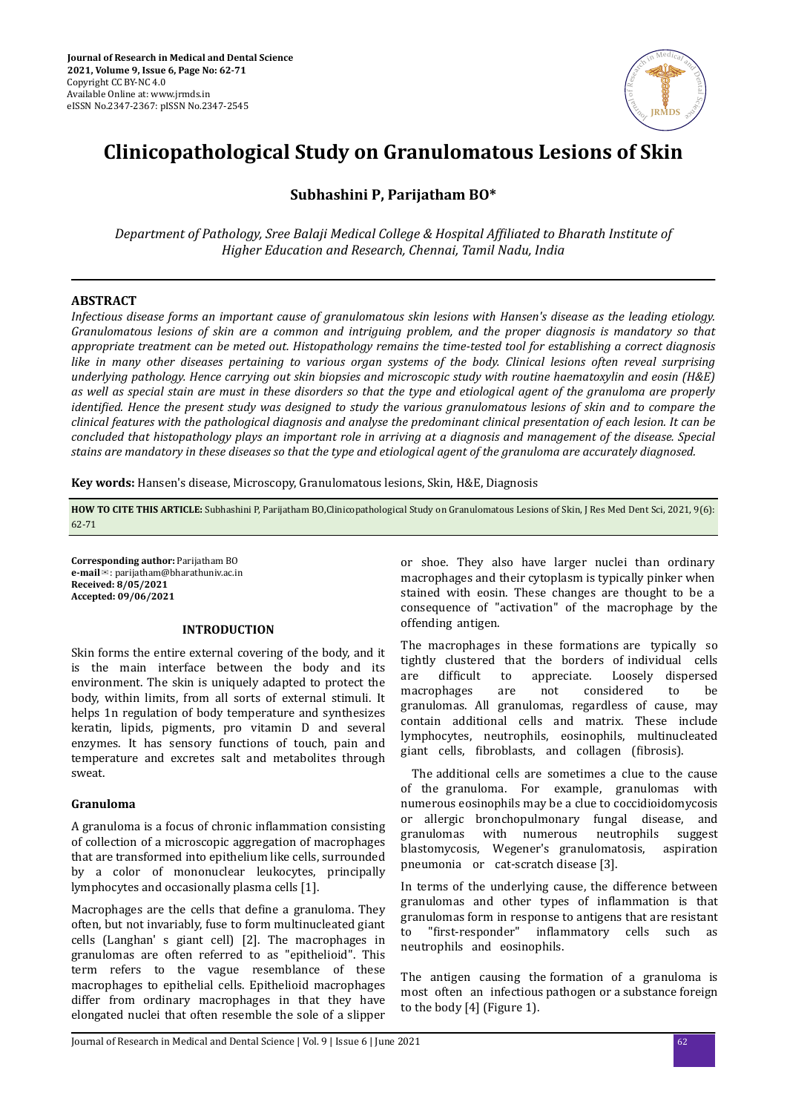

# **Clinicopathological Study on Granulomatous Lesions of Skin**

# **Subhashini P, Parijatham BO\***

*Department of Pathology, Sree Balaji Medical College & Hospital fϔed to Bharath Institute of Higher Education and Research, Chennai, Tamil Nadu, India*

# **ABSTRACT**

*Infectious disease forms an important cause of granulomatous skin lesions with Hansen's disease as the leading etiology. Granulomatous lesions of skin are a common and intriguing problem, and the proper diagnosis is mandatory so that appropriate treatment can be meted out. Histopathology remains the time-tested tool for establishing a correct diagnosis like in many other diseases pertaining to various organ systems of the body. Clinical lesions often reveal surprising underlying pathology. Hence carrying out skin biopsies and microscopic study with routine haematoxylin and eosin (H&E) as well as special stain are must in these disorders so that the type and etiological agent of the granuloma are properly identified. Hence the present study was designed to study the various granulomatous lesions of skin and to compare the clinical features with the pathological diagnosis and analyse the predominant clinical presentation of each lesion. It can be concluded that histopathology plays an important role in arriving at a diagnosis and management of the disease. Special stains are mandatory in these diseases so that the type and etiological agent of the granuloma are accurately diagnosed.*

**Key words:** Hansen's disease, Microscopy, Granulomatous lesions, Skin, H&E, Diagnosis

**HOW TO CITE THIS ARTICLE:** Subhashini P, Parijatham BO,Clinicopathological Study on Granulomatous Lesions of Skin, J Res Med Dent Sci, 2021, 9(6): 62-71

**Corresponding author:** Parijatham BO **e-mail**✉: parijatham@bharathuniv.ac.in **Received: 8/05/2021 Accepted: 09/06/2021** 

# **INTRODUCTION**

Skin forms the entire external covering of the body, and it is the main interface between the body and its environment. The skin is uniquely adapted to protect the body, within limits, from all sorts of external stimuli. It helps 1n regulation of body temperature and synthesizes keratin, lipids, pigments, pro vitamin D and several enzymes. It has sensory functions of touch, pain and temperature and excretes salt and metabolites through sweat.

# **Granuloma**

A granuloma is a focus of chronic inflammation consisting of collection of a microscopic aggregation of macrophages that are transformed into epithelium like cells, surrounded by a color of mononuclear leukocytes, principally lymphocytes and occasionally plasma cells [1].

Macrophages are the cells that define a granuloma. They often, but not invariably, fuse to form multinucleated giant cells (Langhan' s giant cell) [2]. The macrophages in granulomas are often referred to as "epithelioid". This term refers to the vague resemblance of these macrophages to epithelial cells. Epithelioid macrophages differ from ordinary macrophages in that they have elongated nuclei that often resemble the sole of a slipper or shoe. They also have larger nuclei than ordinary macrophages and their cytoplasm is typically pinker when stained with eosin. These changes are thought to be a consequence of "activation" of the macrophage by the offending antigen.

The macrophages in these formations are typically so tightly clustered that the borders of individual cells are difficult to appreciate. Loosely dispersed macrophages are not considered to be granulomas. All granulomas, regardless of cause, may contain additional cells and matrix. These include lymphocytes, neutrophils, eosinophils, multinucleated giant cells, fibroblasts, and collagen (fibrosis).

The additional cells are sometimes a clue to the cause of the granuloma. For example, granulomas with numerous eosinophils may be a clue to coccidioidomycosis or allergic bronchopulmonary fungal disease, and granulomas with numerous neutrophils suggest blastomycosis, Wegener's granulomatosis, aspiration pneumonia or cat-scratch disease [3].

In terms of the underlying cause, the difference between granulomas and other types of inflammation is that granulomas form in response to antigens that are resistant to "first-responder" inflammatory cells such as neutrophils and eosinophils.

The antigen causing the formation of a granuloma is most often an infectious pathogen or a substance foreign to the body [4] (Figure 1).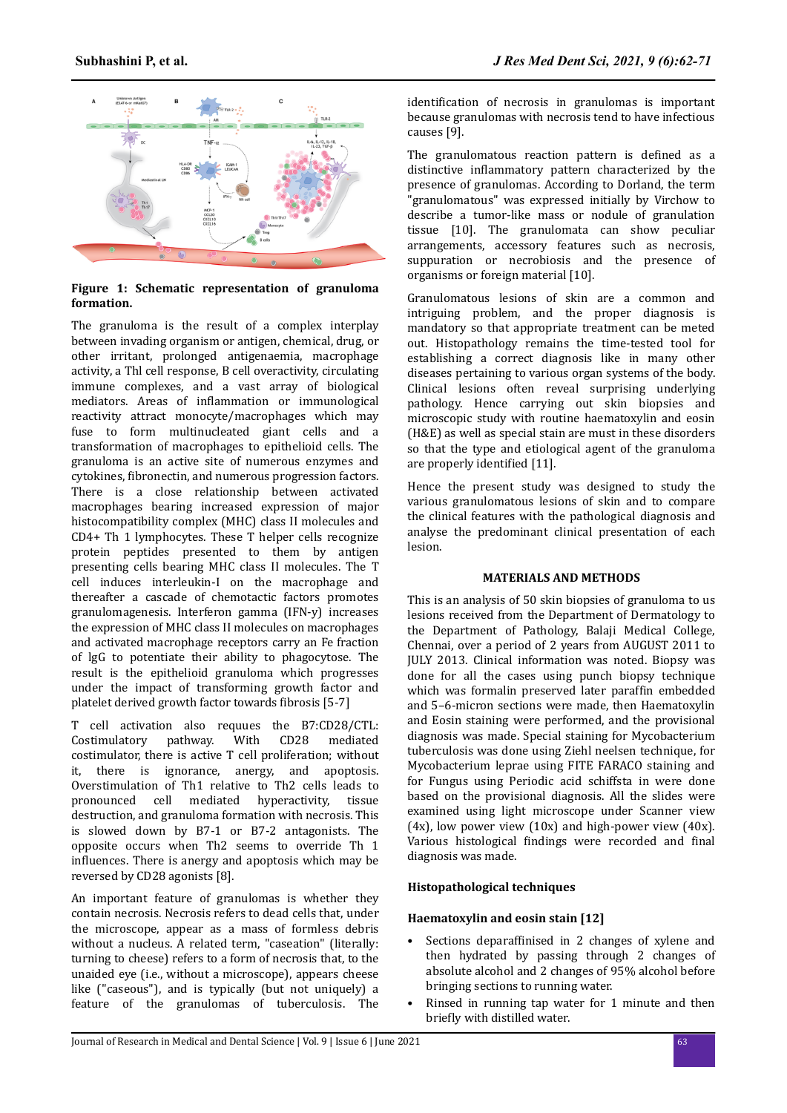

# **Figure 1: Schematic representation of granuloma formation.**

The granuloma is the result of a complex interplay between invading organism or antigen, chemical, drug, or other irritant, prolonged antigenaemia, macrophage activity, a Thl cell response, B cell overactivity, circulating immune complexes, and a vast array of biological mediators. Areas of inflammation or immunological reactivity attract monocyte/macrophages which may fuse to form multinucleated giant cells and a transformation of macrophages to epithelioid cells. The granuloma is an active site of numerous enzymes and cytokines, fibronectin, and numerous progression factors. There is a close relationship between activated macrophages bearing increased expression of major histocompatibility complex (MHC) class II molecules and CD4+ Th 1 lymphocytes. These T helper cells recognize protein peptides presented to them by antigen presenting cells bearing MHC class II molecules. The T cell induces interleukin-I on the macrophage and thereafter a cascade of chemotactic factors promotes granulomagenesis. Interferon gamma (IFN-y) increases the expression of MHC class II molecules on macrophages and activated macrophage receptors carry an Fe fraction of lgG to potentiate their ability to phagocytose. The result is the epithelioid granuloma which progresses under the impact of transforming growth factor and platelet derived growth factor towards fibrosis [5-7]

T cell activation also requues the B7:CD28/CTL: Costimulatory pathway. With CD28 mediated costimulator, there is active T cell proliferation; without it, there is ignorance, anergy, and apoptosis. Overstimulation of Th1 relative to Th2 cells leads to pronounced cell mediated hyperactivity, tissue destruction, and granuloma formation with necrosis. This is slowed down by B7-1 or B7-2 antagonists. The opposite occurs when Th2 seems to override Th 1 influences. There is anergy and apoptosis which may be reversed by CD28 agonists [8].

An important feature of granulomas is whether they contain necrosis. Necrosis refers to dead cells that, under the microscope, appear as a mass of formless debris without a nucleus. A related term, "caseation" (literally: turning to cheese) refers to a form of necrosis that, to the unaided eye (i.e., without a microscope), appears cheese like ("caseous"), and is typically (but not uniquely) a feature of the granulomas of tuberculosis. The

identification of necrosis in granulomas is important because granulomas with necrosis tend to have infectious causes [9].

The granulomatous reaction pattern is defined as a distinctive inflammatory pattern characterized by the presence of granulomas. According to Dorland, the term "granulomatous" was expressed initially by Virchow to describe a tumor-like mass or nodule of granulation tissue [10]. The granulomata can show peculiar arrangements, accessory features such as necrosis, suppuration or necrobiosis and the presence of organisms or foreign material [10].

Granulomatous lesions of skin are a common and intriguing problem, and the proper diagnosis is mandatory so that appropriate treatment can be meted out. Histopathology remains the time-tested tool for establishing a correct diagnosis like in many other diseases pertaining to various organ systems of the body. Clinical lesions often reveal surprising underlying pathology. Hence carrying out skin biopsies and microscopic study with routine haematoxylin and eosin (H&E) as well as special stain are must in these disorders so that the type and etiological agent of the granuloma are properly identified [11].

Hence the present study was designed to study the various granulomatous lesions of skin and to compare the clinical features with the pathological diagnosis and analyse the predominant clinical presentation of each lesion.

# **MATERIALS AND METHODS**

This is an analysis of 50 skin biopsies of granuloma to us lesions received from the Department of Dermatology to the Department of Pathology, Balaji Medical College, Chennai, over a period of 2 years from AUGUST 2011 to JULY 2013. Clinical information was noted. Biopsy was done for all the cases using punch biopsy technique which was formalin preserved later paraffin embedded and 5–6-micron sections were made, then Haematoxylin and Eosin staining were performed, and the provisional diagnosis was made. Special staining for Mycobacterium tuberculosis was done using Ziehl neelsen technique, for Mycobacterium leprae using FITE FARACO staining and for Fungus using Periodic acid schiffsta in were done based on the provisional diagnosis. All the slides were examined using light microscope under Scanner view  $(4x)$ , low power view  $(10x)$  and high-power view  $(40x)$ . Various histological findings were recorded and final diagnosis was made.

# **Histopathological techniques**

# **Haematoxylin and eosin stain [12]**

- Sections deparaffinised in 2 changes of xylene and then hydrated by passing through 2 changes of absolute alcohol and 2 changes of 95% alcohol before bringing sections to running water.
- Rinsed in running tap water for 1 minute and then briefly with distilled water.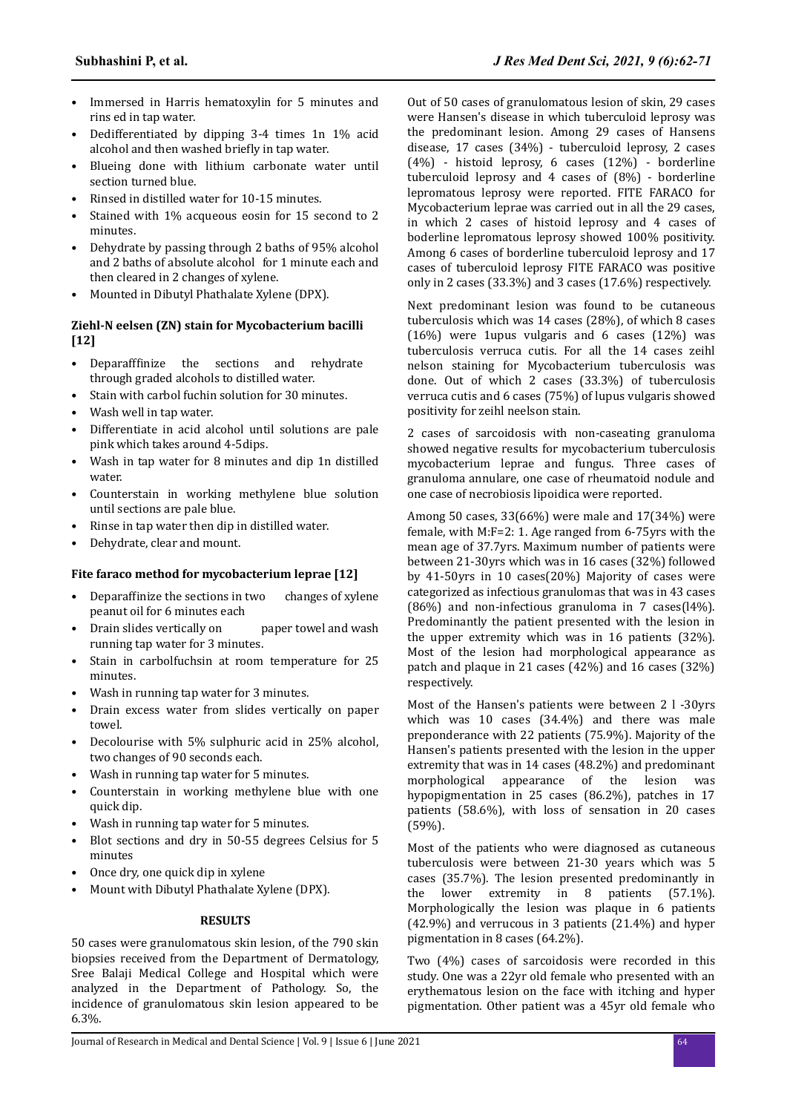- Immersed in Harris hematoxylin for 5 minutes and rins ed in tap water.
- Dedifferentiated by dipping 3-4 times 1n 1% acid alcohol and then washed briefly in tap water.
- Blueing done with lithium carbonate water until section turned blue.
- Rinsed in distilled water for 10-15 minutes.
- Stained with 1% acqueous eosin for 15 second to 2 minutes.
- Dehydrate by passing through 2 baths of 95% alcohol and 2 baths of absolute alcohol for 1 minute each and then cleared in 2 changes of xylene.
- Mounted in Dibutyl Phathalate Xylene (DPX).

# **Ziehl-N eelsen (ZN) stain for Mycobacterium bacilli [12]**

- Deparafffinize the sections and rehydrate through graded alcohols to distilled water.
- Stain with carbol fuchin solution for 30 minutes.
- Wash well in tap water.
- Differentiate in acid alcohol until solutions are pale pink which takes around 4-5dips.
- Wash in tap water for 8 minutes and dip 1n distilled water.
- Counterstain in working methylene blue solution until sections are pale blue.
- Rinse in tap water then dip in distilled water.
- Dehydrate, clear and mount.

# **Fite faraco method for mycobacterium leprae [12]**

- Deparaffinize the sections in two changes of xylene peanut oil for 6 minutes each
- Drain slides vertically on paper towel and wash running tap water for 3 minutes.
- Stain in carbolfuchsin at room temperature for 25 minutes.
- Wash in running tap water for 3 minutes.
- Drain excess water from slides vertically on paper towel.
- Decolourise with 5% sulphuric acid in 25% alcohol, two changes of 90 seconds each.
- Wash in running tap water for 5 minutes.
- Counterstain in working methylene blue with one quick dip.
- Wash in running tap water for 5 minutes.
- Blot sections and dry in 50-55 degrees Celsius for 5 minutes
- Once dry, one quick dip in xylene
- Mount with Dibutyl Phathalate Xylene (DPX).

# **RESULTS**

50 cases were granulomatous skin lesion, of the 790 skin biopsies received from the Department of Dermatology, Sree Balaji Medical College and Hospital which were analyzed in the Department of Pathology. So, the incidence of granulomatous skin lesion appeared to be 6.3%.

Out of 50 cases of granulomatous lesion of skin, 29 cases were Hansen's disease in which tuberculoid leprosy was the predominant lesion. Among 29 cases of Hansens disease, 17 cases (34%) - tuberculoid leprosy, 2 cases (4%) - histoid leprosy, 6 cases (12%) - borderline tuberculoid leprosy and 4 cases of (8%) - borderline lepromatous leprosy were reported. FITE FARACO for Mycobacterium leprae was carried out in all the 29 cases, in which 2 cases of histoid leprosy and 4 cases of boderline lepromatous leprosy showed 100% positivity. Among 6 cases of borderline tuberculoid leprosy and 17 cases of tuberculoid leprosy FITE FARACO was positive only in 2 cases (33.3%) and 3 cases (17.6%) respectively.

Next predominant lesion was found to be cutaneous tuberculosis which was 14 cases (28%), of which 8 cases (16%) were 1upus vulgaris and 6 cases (12%) was tuberculosis verruca cutis. For all the 14 cases zeihl nelson staining for Mycobacterium tuberculosis was done. Out of which 2 cases (33.3%) of tuberculosis verruca cutis and 6 cases (75%) of lupus vulgaris showed positivity for zeihl neelson stain.

2 cases of sarcoidosis with non-caseating granuloma showed negative results for mycobacterium tuberculosis mycobacterium leprae and fungus. Three cases of granuloma annulare, one case of rheumatoid nodule and one case of necrobiosis lipoidica were reported.

Among 50 cases, 33(66%) were male and 17(34%) were female, with M:F=2: 1. Age ranged from 6-75yrs with the mean age of 37.7yrs. Maximum number of patients were between 21-30yrs which was in 16 cases (32%) followed by 41-50yrs in 10 cases(20%) Majority of cases were categorized as infectious granulomas that was in 43 cases (86%) and non-infectious granuloma in 7 cases(l4%). Predominantly the patient presented with the lesion in the upper extremity which was in 16 patients (32%). Most of the lesion had morphological appearance as patch and plaque in 21 cases (42%) and 16 cases (32%) respectively.

Most of the Hansen's patients were between 2 l -30yrs which was 10 cases (34.4%) and there was male preponderance with 22 patients (75.9%). Majority of the Hansen's patients presented with the lesion in the upper extremity that was in 14 cases (48.2%) and predominant morphological appearance of the lesion was hypopigmentation in 25 cases (86.2%), patches in 17 patients (58.6%), with loss of sensation in 20 cases (59%).

Most of the patients who were diagnosed as cutaneous tuberculosis were between 21-30 years which was 5 cases (35.7%). The lesion presented predominantly in the lower extremity in 8 patients (57.1%). Morphologically the lesion was plaque in 6 patients (42.9%) and verrucous in 3 patients (21.4%) and hyper pigmentation in 8 cases (64.2%).

Two (4%) cases of sarcoidosis were recorded in this study. One was a 22yr old female who presented with an erythematous lesion on the face with itching and hyper pigmentation. Other patient was a 45yr old female who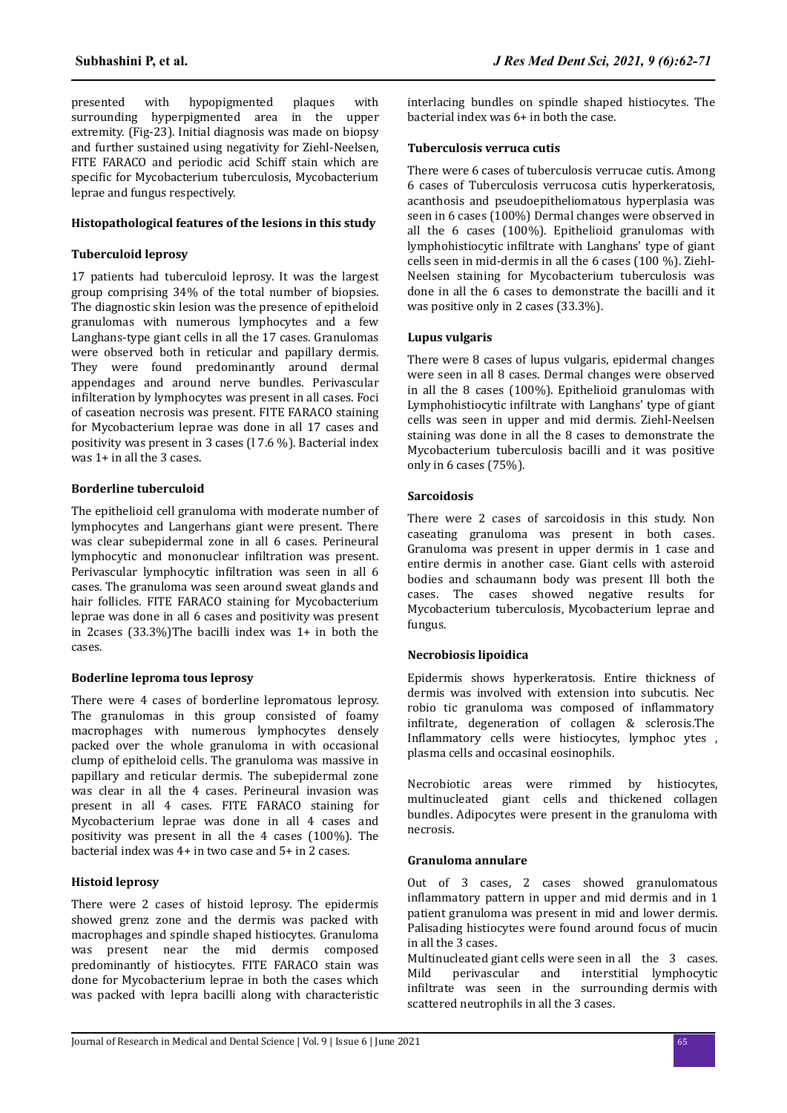presented with hypopigmented plaques with surrounding hyperpigmented area in the upper extremity. (Fig-23). Initial diagnosis was made on biopsy and further sustained using negativity for Ziehl-Neelsen, FITE FARACO and periodic acid Schiff stain which are specific for Mycobacterium tuberculosis, Mycobacterium leprae and fungus respectively.

#### **Histopathological features of the lesions in this study**

# **Tuberculoid leprosy**

17 patients had tuberculoid leprosy. It was the largest group comprising 34% of the total number of biopsies. The diagnostic skin lesion was the presence of epitheloid granulomas with numerous lymphocytes and a few Langhans-type giant cells in all the 17 cases. Granulomas were observed both in reticular and papillary dermis. They were found predominantly around dermal appendages and around nerve bundles. Perivascular infilteration by lymphocytes was present in all cases. Foci of caseation necrosis was present. FITE FARACO staining for Mycobacterium leprae was done in all 17 cases and positivity was present in 3 cases (l 7.6 %). Bacterial index was 1+ in all the 3 cases.

# **Borderline tuberculoid**

The epithelioid cell granuloma with moderate number of lymphocytes and Langerhans giant were present. There was clear subepidermal zone in all 6 cases. Perineural lymphocytic and mononuclear infiltration was present. Perivascular lymphocytic infiltration was seen in all 6 cases. The granuloma was seen around sweat glands and hair follicles. FITE FARACO staining for Mycobacterium leprae was done in all 6 cases and positivity was present in 2cases (33.3%)The bacilli index was 1+ in both the cases.

# **Boderline leproma tous leprosy**

There were 4 cases of borderline lepromatous leprosy. The granulomas in this group consisted of foamy macrophages with numerous lymphocytes densely packed over the whole granuloma in with occasional clump of epitheloid cells. The granuloma was massive in papillary and reticular dermis. The subepidermal zone was clear in all the 4 cases. Perineural invasion was present in all 4 cases. FITE FARACO staining for Mycobacterium leprae was done in all 4 cases and positivity was present in all the 4 cases (100%). The bacterial index was 4+ in two case and 5+ in 2 cases.

# **Histoid leprosy**

There were 2 cases of histoid leprosy. The epidermis showed grenz zone and the dermis was packed with macrophages and spindle shaped histiocytes. Granuloma was present near the mid dermis composed predominantly of histiocytes. FITE FARACO stain was done for Mycobacterium leprae in both the cases which was packed with lepra bacilli along with characteristic interlacing bundles on spindle shaped histiocytes. The bacterial index was 6+ in both the case.

# **Tuberculosis verruca cutis**

There were 6 cases of tuberculosis verrucae cutis. Among 6 cases of Tuberculosis verrucosa cutis hyperkeratosis, acanthosis and pseudoepitheliomatous hyperplasia was seen in 6 cases (100%) Dermal changes were observed in all the 6 cases (100%). Epithelioid granulomas with lymphohistiocytic infiltrate with Langhans' type of giant cells seen in mid-dermis in all the 6 cases (100 %). Ziehl-Neelsen staining for Mycobacterium tuberculosis was done in all the 6 cases to demonstrate the bacilli and it was positive only in 2 cases (33.3%).

### **Lupus vulgaris**

There were 8 cases of lupus vulgaris, epidermal changes were seen in all 8 cases. Dermal changes were observed in all the 8 cases (100%). Epithelioid granulomas with Lymphohistiocytic infiltrate with Langhans' type of giant cells was seen in upper and mid dermis. Ziehl-Neelsen staining was done in all the 8 cases to demonstrate the Mycobacterium tuberculosis bacilli and it was positive only in 6 cases (75%).

### **Sarcoidosis**

There were 2 cases of sarcoidosis in this study. Non caseating granuloma was present in both cases. Granuloma was present in upper dermis in 1 case and entire dermis in another case. Giant cells with asteroid bodies and schaumann body was present Ill both the cases. The cases showed negative results for Mycobacterium tuberculosis, Mycobacterium leprae and fungus.

# **Necrobiosis lipoidica**

Epidermis shows hyperkeratosis. Entire thickness of dermis was involved with extension into subcutis. Nec robio tic granuloma was composed of inflammatory infiltrate, degeneration of collagen & sclerosis.The Inflammatory cells were histiocytes, lymphoc ytes , plasma cells and occasinal eosinophils.

Necrobiotic areas were rimmed by histiocytes, multinucleated giant cells and thickened collagen bundles. Adipocytes were present in the granuloma with necrosis.

#### **Granuloma annulare**

Out of 3 cases, 2 cases showed granulomatous inflammatory pattern in upper and mid dermis and in 1 patient granuloma was present in mid and lower dermis. Palisading histiocytes were found around focus of mucin in all the 3 cases.

Multinucleated giant cells were seen in all the 3 cases. Mild perivascular and interstitial lymphocytic infiltrate was seen in the surrounding dermis with scattered neutrophils in all the 3 cases.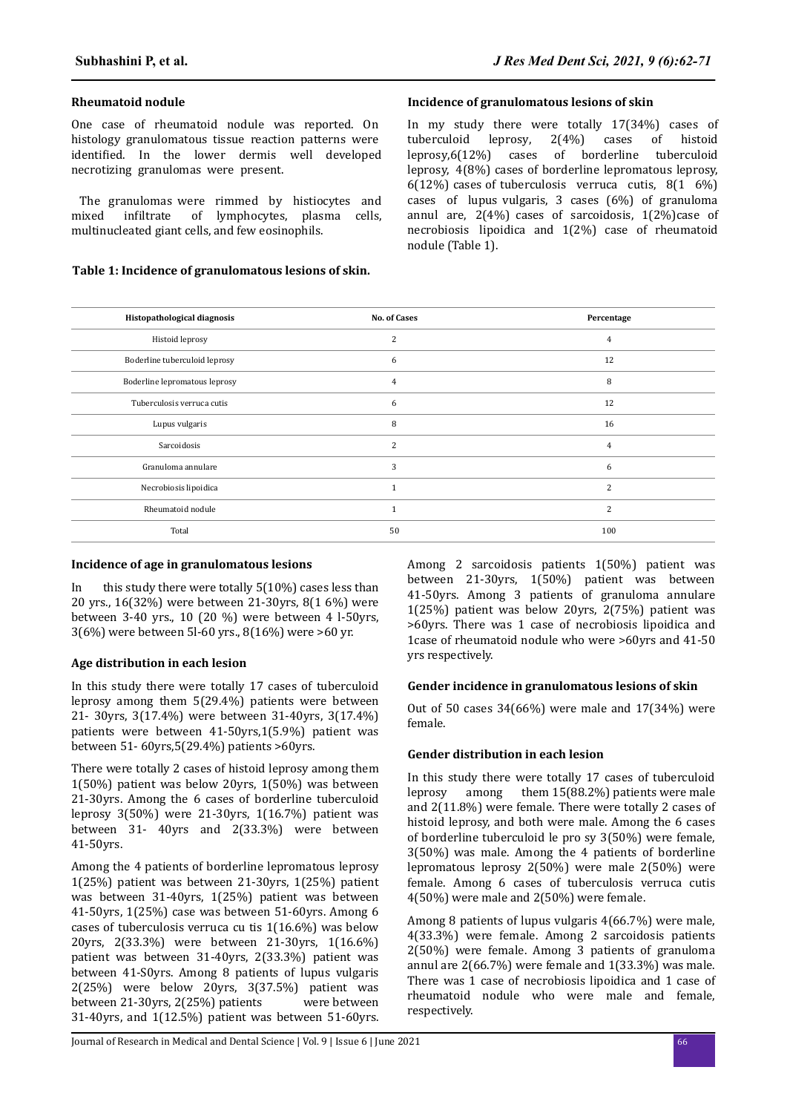#### **Rheumatoid nodule**

One case of rheumatoid nodule was reported. On histology granulomatous tissue reaction patterns were identified. In the lower dermis well developed necrotizing granulomas were present.

The granulomas were rimmed by histiocytes and mixed infiltrate of lymphocytes, plasma cells, multinucleated giant cells, and few eosinophils.

# **Table 1: Incidence of granulomatous lesions of skin.**

#### **Incidence of granulomatous lesions of skin**

In my study there were totally  $17(34%)$  cases of tuberculoid leprosy,  $2(4%)$  cases of histoid  $2(4%)$  cases of histoid leprosy,6(12%) cases of borderline tuberculoid leprosy, 4(8%) cases of borderline lepromatous leprosy, 6(12%) cases of tuberculosis verruca cutis, 8(1 6%) cases of lupus vulgaris, 3 cases (6%) of granuloma annul are,  $2(4%)$  cases of sarcoidosis,  $1(2%)$ case of necrobiosis lipoidica and 1(2%) case of rheumatoid nodule (Table 1).

| Histopathological diagnosis   | <b>No. of Cases</b> | Percentage     |
|-------------------------------|---------------------|----------------|
| Histoid leprosy               | $\overline{2}$      | 4              |
| Boderline tuberculoid leprosy | 6                   | 12             |
| Boderline lepromatous leprosy | 4                   | 8              |
| Tuberculosis verruca cutis    | 6                   | 12             |
| Lupus vulgaris                | 8                   | 16             |
| Sarcoidosis                   | $\overline{2}$      | $\overline{4}$ |
| Granuloma annulare            | 3                   | 6              |
| Necrobiosis lipoidica         | $\mathbf{1}$        | $\overline{2}$ |
| Rheumatoid nodule             | $\mathbf{1}$        | $\overline{c}$ |
| Total                         | 50                  | 100            |

# **Incidence of age in granulomatous lesions**

In this study there were totally 5(10%) cases less than 20 yrs., 16(32%) were between 21-30yrs, 8(1 6%) were between 3-40 yrs., 10 (20 %) were between 4 l-50yrs, 3(6%) were between 5l-60 yrs., 8(16%) were >60 yr.

# **Age distribution in each lesion**

In this study there were totally 17 cases of tuberculoid leprosy among them 5(29.4%) patients were between 21- 30yrs, 3(17.4%) were between 31-40yrs, 3(17.4%) patients were between 41-50yrs,1(5.9%) patient was between 51- 60yrs,5(29.4%) patients >60yrs.

There were totally 2 cases of histoid leprosy among them 1(50%) patient was below 20yrs, 1(50%) was between 21-30yrs. Among the 6 cases of borderline tuberculoid leprosy 3(50%) were 21-30yrs, 1(16.7%) patient was between 31- 40yrs and 2(33.3%) were between 41-50yrs.

Among the 4 patients of borderline lepromatous leprosy 1(25%) patient was between 21-30yrs, 1(25%) patient was between 31-40yrs, 1(25%) patient was between 41-50yrs, 1(25%) case was between 51-60yrs. Among 6 cases of tuberculosis verruca cu tis 1(16.6%) was below 20yrs, 2(33.3%) were between 21-30yrs, 1(16.6%) patient was between 31-40yrs, 2(33.3%) patient was between 41-S0yrs. Among 8 patients of lupus vulgaris 2(25%) were below 20yrs, 3(37.5%) patient was between 21-30yrs, 2(25%) patients were between 31-40yrs, and 1(12.5%) patient was between 51-60yrs. Among 2 sarcoidosis patients 1(50%) patient was between 21-30yrs, 1(50%) patient was between 41-50yrs. Among 3 patients of granuloma annulare 1(25%) patient was below 20yrs, 2(75%) patient was >60yrs. There was 1 case of necrobiosis lipoidica and 1case of rheumatoid nodule who were >60yrs and 41-50 yrs respectively.

# **Gender incidence in granulomatous lesions of skin**

Out of 50 cases 34(66%) were male and 17(34%) were female.

#### **Gender distribution in each lesion**

In this study there were totally 17 cases of tuberculoid leprosy among them 15(88.2%) patients were male and 2(11.8%) were female. There were totally 2 cases of histoid leprosy, and both were male. Among the 6 cases of borderline tuberculoid le pro sy 3(50%) were female, 3(50%) was male. Among the 4 patients of borderline lepromatous leprosy 2(50%) were male 2(50%) were female. Among 6 cases of tuberculosis verruca cutis 4(50%) were male and 2(50%) were female.

Among 8 patients of lupus vulgaris 4(66.7%) were male, 4(33.3%) were female. Among 2 sarcoidosis patients 2(50%) were female. Among 3 patients of granuloma annul are 2(66.7%) were female and 1(33.3%) was male. There was 1 case of necrobiosis lipoidica and 1 case of rheumatoid nodule who were male and female, respectively.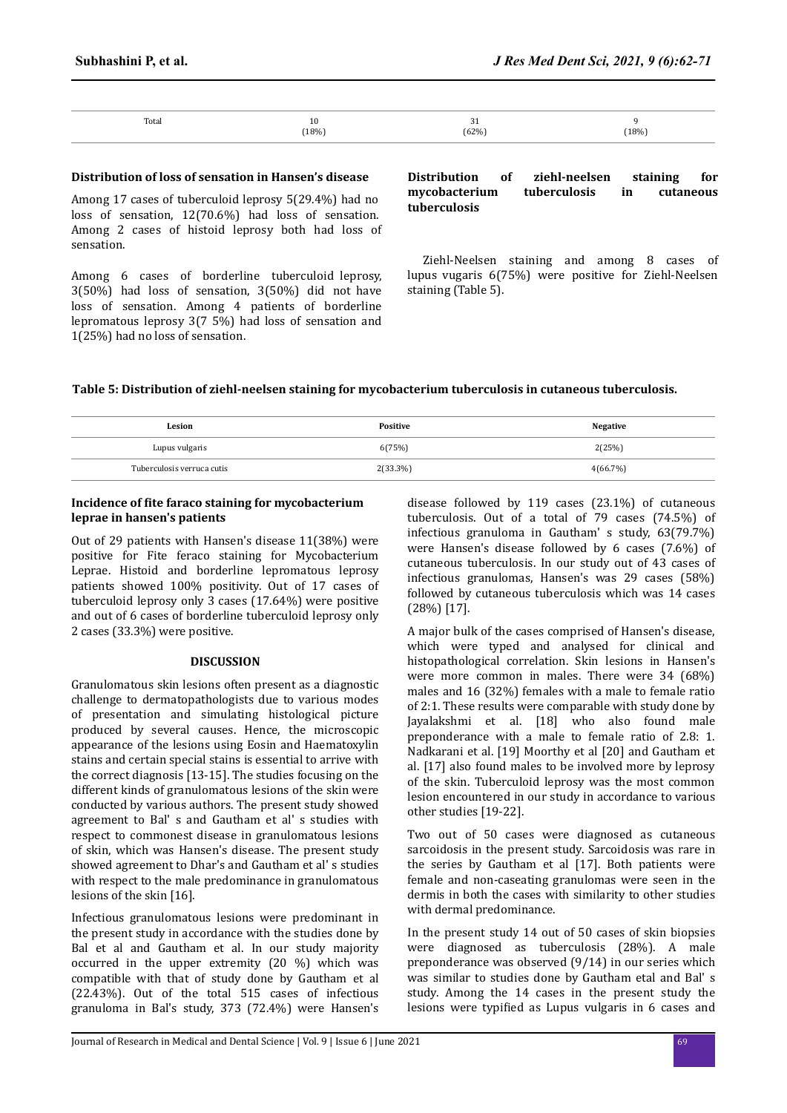| Total | 10<br>(18%) | $\sim$<br><b>JI</b><br>(62%) | (18%) |
|-------|-------------|------------------------------|-------|
|       |             |                              |       |

#### **Distribution of loss of sensation in Hansen's disease**

Among 17 cases of tuberculoid leprosy 5(29.4%) had no loss of sensation, 12(70.6%) had loss of sensation. Among 2 cases of histoid leprosy both had loss of sensation.

Among 6 cases of borderline tuberculoid leprosy, 3(50%) had loss of sensation, 3(50%) did not have loss of sensation. Among 4 patients of borderline lepromatous leprosy 3(7 5%) had loss of sensation and 1(25%) had no loss of sensation.

#### **Distribution of ziehl-neelsen staining for mycobacterium tuberculosis in cutaneous tuberculosis**

In the present study there were 6 cases of tuberculosis verruca cutis among them 2 (33.3%) were positive forZiehl-Neelsen staining and among 8 cases of lupus vugaris 6(75%) were positive for Ziehl-Neelsen staining (Table 5).

### **Table 5: Distribution of ziehl-neelsen staining for mycobacterium tuberculosis in cutaneous tuberculosis.**

| Lesion                     | <b>Positive</b> | <b>Negative</b> |
|----------------------------|-----------------|-----------------|
| Lupus vulgaris             | 6(75%)          | 2(25%)          |
| Tuberculosis verruca cutis | 2(33.3%)        | 4(66.7%)        |

#### **Incidence of fite faraco staining for mycobacterium leprae in hansen's patients**

Out of 29 patients with Hansen's disease 11(38%) were positive for Fite feraco staining for Mycobacterium Leprae. Histoid and borderline lepromatous leprosy patients showed 100% positivity. Out of 17 cases of tuberculoid leprosy only 3 cases (17.64%) were positive and out of 6 cases of borderline tuberculoid leprosy only 2 cases (33.3%) were positive.

#### **DISCUSSION**

Granulomatous skin lesions often present as a diagnostic challenge to dermatopathologists due to various modes of presentation and simulating histological picture produced by several causes. Hence, the microscopic appearance of the lesions using Eosin and Haematoxylin stains and certain special stains is essential to arrive with the correct diagnosis [13-15]. The studies focusing on the different kinds of granulomatous lesions of the skin were conducted by various authors. The present study showed agreement to Bal' s and Gautham et al' s studies with respect to commonest disease in granulomatous lesions of skin, which was Hansen's disease. The present study showed agreement to Dhar's and Gautham et al' s studies with respect to the male predominance in granulomatous lesions of the skin [16].

Infectious granulomatous lesions were predominant in the present study in accordance with the studies done by Bal et al and Gautham et al. In our study majority occurred in the upper extremity (20 %) which was compatible with that of study done by Gautham et al (22.43%). Out of the total 515 cases of infectious granuloma in Bal's study, 373 (72.4%) were Hansen's

disease followed by 119 cases (23.1%) of cutaneous tuberculosis. Out of a total of 79 cases (74.5%) of infectious granuloma in Gautham' s study, 63(79.7%) were Hansen's disease followed by 6 cases (7.6%) of cutaneous tuberculosis. In our study out of 43 cases of infectious granulomas, Hansen's was 29 cases (58%) followed by cutaneous tuberculosis which was 14 cases (28%) [17].

A major bulk of the cases comprised of Hansen's disease, which were typed and analysed for clinical and histopathological correlation. Skin lesions in Hansen's were more common in males. There were 34 (68%) males and 16 (32%) females with a male to female ratio of 2:1. These results were comparable with study done by Jayalakshmi et al. [18] who also found male preponderance with a male to female ratio of 2.8: 1. Nadkarani et al. [19] Moorthy et al [20] and Gautham et al. [17] also found males to be involved more by leprosy of the skin. Tuberculoid leprosy was the most common lesion encountered in our study in accordance to various other studies [19-22].

Two out of 50 cases were diagnosed as cutaneous sarcoidosis in the present study. Sarcoidosis was rare in the series by Gautham et al [17]. Both patients were female and non-caseating granulomas were seen in the dermis in both the cases with similarity to other studies with dermal predominance.

In the present study 14 out of 50 cases of skin biopsies were diagnosed as tuberculosis (28%). A male preponderance was observed (9/14) in our series which was similar to studies done by Gautham etal and Bal' s study. Among the 14 cases in the present study the lesions were typified as Lupus vulgaris in 6 cases and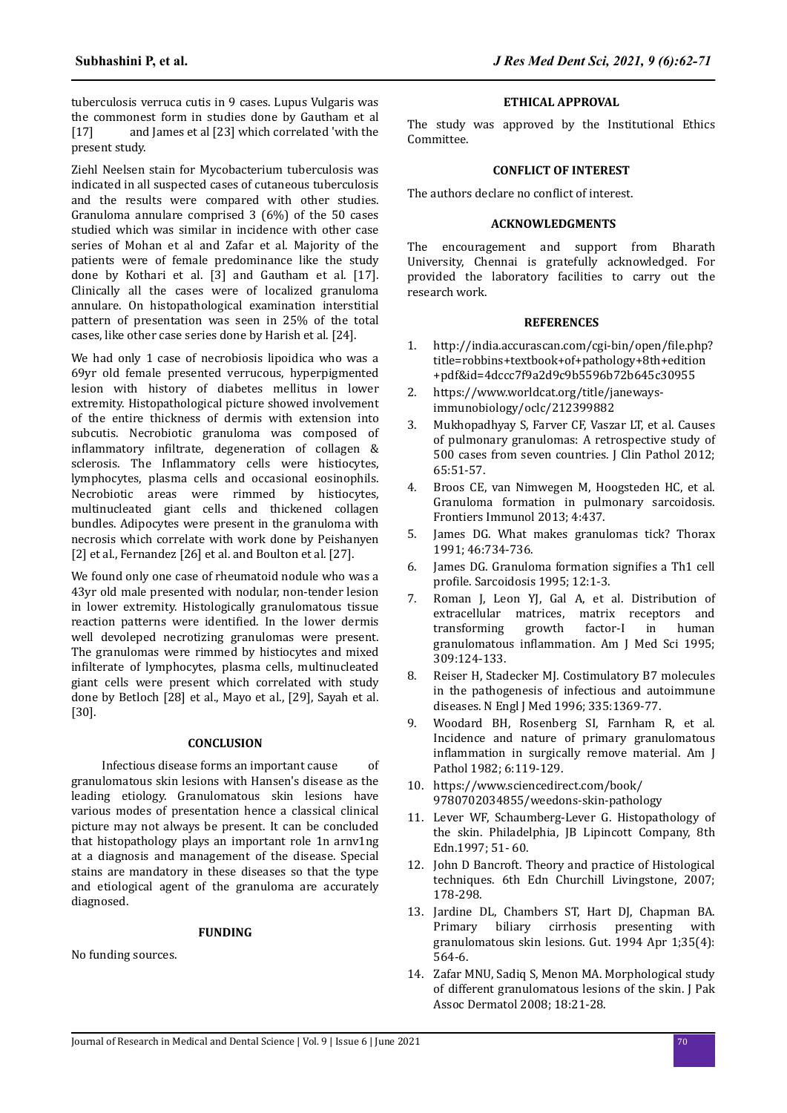tuberculosis verruca cutis in 9 cases. Lupus Vulgaris was the commonest form in studies done by Gautham et al [17] and James et al [23] which correlated 'with the present study.

Ziehl Neelsen stain for Mycobacterium tuberculosis was indicated in all suspected cases of cutaneous tuberculosis and the results were compared with other studies. Granuloma annulare comprised 3 (6%) of the 50 cases studied which was similar in incidence with other case series of Mohan et al and Zafar et al. Majority of the patients were of female predominance like the study done by Kothari et al. [3] and Gautham et al. [17]. Clinically all the cases were of localized granuloma annulare. On histopathological examination interstitial pattern of presentation was seen in 25% of the total cases, like other case series done by Harish et al. [24].

We had only 1 case of necrobiosis lipoidica who was a 69yr old female presented verrucous, hyperpigmented lesion with history of diabetes mellitus in lower extremity. Histopathological picture showed involvement of the entire thickness of dermis with extension into subcutis. Necrobiotic granuloma was composed of inflammatory infiltrate, degeneration of collagen & sclerosis. The Inflammatory cells were histiocytes, lymphocytes, plasma cells and occasional eosinophils. Necrobiotic areas were rimmed by histiocytes, multinucleated giant cells and thickened collagen bundles. Adipocytes were present in the granuloma with necrosis which correlate with work done by Peishanyen [2] et al., Fernandez [26] et al. and Boulton et al. [27].

We found only one case of rheumatoid nodule who was a 43yr old male presented with nodular, non-tender lesion in lower extremity. Histologically granulomatous tissue reaction patterns were identified. In the lower dermis well devoleped necrotizing granulomas were present. The granulomas were rimmed by histiocytes and mixed infilterate of lymphocytes, plasma cells, multinucleated giant cells were present which correlated with study done by Betloch [28] et al., Mayo et al., [29], Sayah et al. [30].

# **CONCLUSION**

Infectious disease forms an important cause of granulomatous skin lesions with Hansen's disease as the leading etiology. Granulomatous skin lesions have various modes of presentation hence a classical clinical picture may not always be present. It can be concluded that histopathology plays an important role 1n arnv1ng at a diagnosis and management of the disease. Special stains are mandatory in these diseases so that the type and etiological agent of the granuloma are accurately diagnosed.

#### **FUNDING**

No funding sources.

#### **ETHICAL APPROVAL**

The study was approved by the Institutional Ethics Committee.

#### **CONFLICT OF INTEREST**

The authors declare no conflict of interest.

# **ACKNOWLEDGMENTS**

The encouragement and support from Bharath University, Chennai is gratefully acknowledged. For provided the laboratory facilities to carry out the research work.

#### **REFERENCES**

- http://india.accurascan.com/cgi-bin/open/file.php? title=robbins+textbook+of+pathology+8th+edition +pdf&id=4dccc7f9a2d9c9b5596b72b645c30955
- 2. https://www.worldcat.org/title/janewaysimmunobiology/oclc/212399882
- 3. Mukhopadhyay S, Farver CF, Vaszar LT, et al. Causes of pulmonary granulomas: A retrospective study of 500 cases from seven countries. J Clin Pathol 2012; 65:51-57.
- 4. Broos CE, van Nimwegen M, Hoogsteden HC, et al. Granuloma formation in pulmonary sarcoidosis. Frontiers Immunol 2013; 4:437.
- 5. James DG. What makes granulomas tick? Thorax 1991; 46:734-736.
- 6. James DG. Granuloma formation signifies a Th1 cell profile. Sarcoidosis 1995; 12:1-3.
- 7. Roman J, Leon YJ, Gal A, et al. Distribution of extracellular matrices, matrix receptors and transforming growth factor-I in human granulomatous inflammation. Am J Med Sci 1995; 309:124-133.
- 8. Reiser H, Stadecker MJ. Costimulatory B7 molecules in the pathogenesis of infectious and autoimmune diseases. N Engl J Med 1996; 335:1369-77.
- 9. Woodard BH, Rosenberg SI, Farnham R, et al. Incidence and nature of primary granulomatous inflammation in surgically remove material. Am J Pathol 1982; 6:119-129.
- 10. https://www.sciencedirect.com/book/ 9780702034855/weedons-skin-pathology
- 11. Lever WF, Schaumberg-Lever G. Histopathology of the skin. Philadelphia. IB Lipincott Company, 8th Edn.1997; 51- 60.
- 12. John D Bancroft. Theory and practice of Histological techniques. 6th Edn Churchill Livingstone, 2007; 178-298.
- 13. Jardine DL, Chambers ST, Hart DJ, Chapman BA. Primary biliary cirrhosis presenting with granulomatous skin lesions. Gut. 1994 Apr 1;35(4): 564-6.
- 14. Zafar MNU, Sadiq S, Menon MA. Morphological study of different granulomatous lesions of the skin. J Pak Assoc Dermatol 2008; 18:21-28.